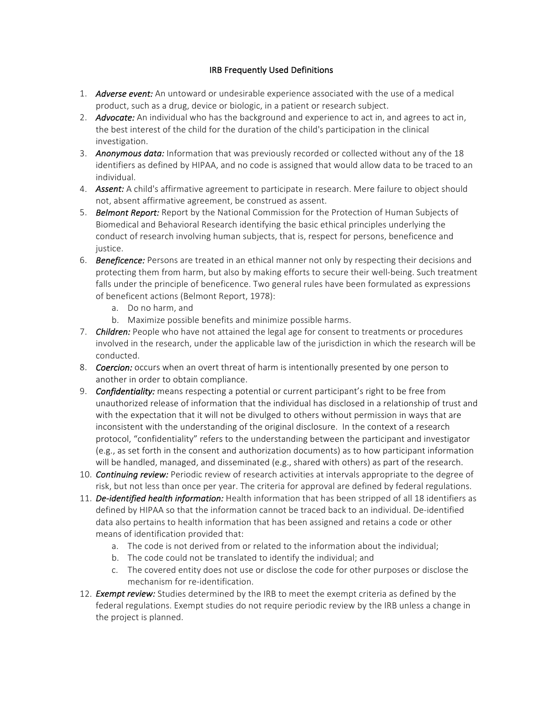## **IRB Frequently Used Definitions**

- 1. Adverse event: An untoward or undesirable experience associated with the use of a medical product, such as a drug, device or biologic, in a patient or research subject.
- 2. *Advocate:* An individual who has the background and experience to act in, and agrees to act in, the best interest of the child for the duration of the child's participation in the clinical investigation.
- 3. **Anonymous data:** Information that was previously recorded or collected without any of the 18 identifiers as defined by HIPAA, and no code is assigned that would allow data to be traced to an individual.
- 4. **Assent:** A child's affirmative agreement to participate in research. Mere failure to object should not, absent affirmative agreement, be construed as assent.
- 5. **Belmont Report:** Report by the National Commission for the Protection of Human Subjects of Biomedical and Behavioral Research identifying the basic ethical principles underlying the conduct of research involving human subjects, that is, respect for persons, beneficence and justice.
- 6. **Beneficence:** Persons are treated in an ethical manner not only by respecting their decisions and protecting them from harm, but also by making efforts to secure their well-being. Such treatment falls under the principle of beneficence. Two general rules have been formulated as expressions of beneficent actions (Belmont Report, 1978):
	- a. Do no harm, and
	- b. Maximize possible benefits and minimize possible harms.
- 7. **Children:** People who have not attained the legal age for consent to treatments or procedures involved in the research, under the applicable law of the jurisdiction in which the research will be conducted.
- 8. **Coercion:** occurs when an overt threat of harm is intentionally presented by one person to another in order to obtain compliance.
- 9. **Confidentiality:** means respecting a potential or current participant's right to be free from unauthorized release of information that the individual has disclosed in a relationship of trust and with the expectation that it will not be divulged to others without permission in ways that are inconsistent with the understanding of the original disclosure. In the context of a research protocol, "confidentiality" refers to the understanding between the participant and investigator (e.g., as set forth in the consent and authorization documents) as to how participant information will be handled, managed, and disseminated (e.g., shared with others) as part of the research.
- 10. **Continuing review:** Periodic review of research activities at intervals appropriate to the degree of risk, but not less than once per year. The criteria for approval are defined by federal regulations.
- 11. *De-identified health information:* Health information that has been stripped of all 18 identifiers as defined by HIPAA so that the information cannot be traced back to an individual. De-identified data also pertains to health information that has been assigned and retains a code or other means of identification provided that:
	- a. The code is not derived from or related to the information about the individual;
	- b. The code could not be translated to identify the individual; and
	- c. The covered entity does not use or disclose the code for other purposes or disclose the mechanism for re-identification.
- 12. *Exempt review:* Studies determined by the IRB to meet the exempt criteria as defined by the federal regulations. Exempt studies do not require periodic review by the IRB unless a change in the project is planned.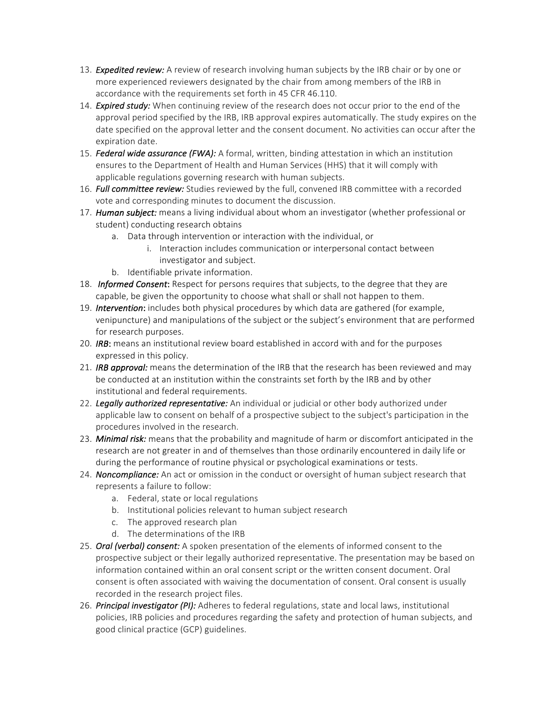- 13. **Expedited review:** A review of research involving human subjects by the IRB chair or by one or more experienced reviewers designated by the chair from among members of the IRB in accordance with the requirements set forth in 45 CFR 46.110.
- 14. **Expired study:** When continuing review of the research does not occur prior to the end of the approval period specified by the IRB, IRB approval expires automatically. The study expires on the date specified on the approval letter and the consent document. No activities can occur after the expiration date.
- 15. **Federal wide assurance (FWA):** A formal, written, binding attestation in which an institution ensures to the Department of Health and Human Services (HHS) that it will comply with applicable regulations governing research with human subjects.
- 16. *Full committee review:* Studies reviewed by the full, convened IRB committee with a recorded vote and corresponding minutes to document the discussion.
- 17. **Human subject:** means a living individual about whom an investigator (whether professional or student) conducting research obtains
	- a. Data through intervention or interaction with the individual, or
		- i. Interaction includes communication or interpersonal contact between investigator and subject.
	- b. Identifiable private information.
- 18. **Informed Consent:** Respect for persons requires that subjects, to the degree that they are capable, be given the opportunity to choose what shall or shall not happen to them.
- 19. **Intervention**: includes both physical procedures by which data are gathered (for example, venipuncture) and manipulations of the subject or the subject's environment that are performed for research purposes.
- 20. *IRB*: means an institutional review board established in accord with and for the purposes expressed in this policy.
- 21. **IRB approval:** means the determination of the IRB that the research has been reviewed and may be conducted at an institution within the constraints set forth by the IRB and by other institutional and federal requirements.
- 22. Legally authorized representative: An individual or judicial or other body authorized under applicable law to consent on behalf of a prospective subject to the subject's participation in the procedures involved in the research.
- 23. Minimal risk: means that the probability and magnitude of harm or discomfort anticipated in the research are not greater in and of themselves than those ordinarily encountered in daily life or during the performance of routine physical or psychological examinations or tests.
- 24. **Noncompliance:** An act or omission in the conduct or oversight of human subject research that represents a failure to follow:
	- a. Federal, state or local regulations
	- b. Institutional policies relevant to human subject research
	- c. The approved research plan
	- d. The determinations of the IRB
- 25. *Oral (verbal) consent:* A spoken presentation of the elements of informed consent to the prospective subject or their legally authorized representative. The presentation may be based on information contained within an oral consent script or the written consent document. Oral consent is often associated with waiving the documentation of consent. Oral consent is usually recorded in the research project files.
- 26. *Principal investigator (PI):* Adheres to federal regulations, state and local laws, institutional policies, IRB policies and procedures regarding the safety and protection of human subjects, and good clinical practice (GCP) guidelines.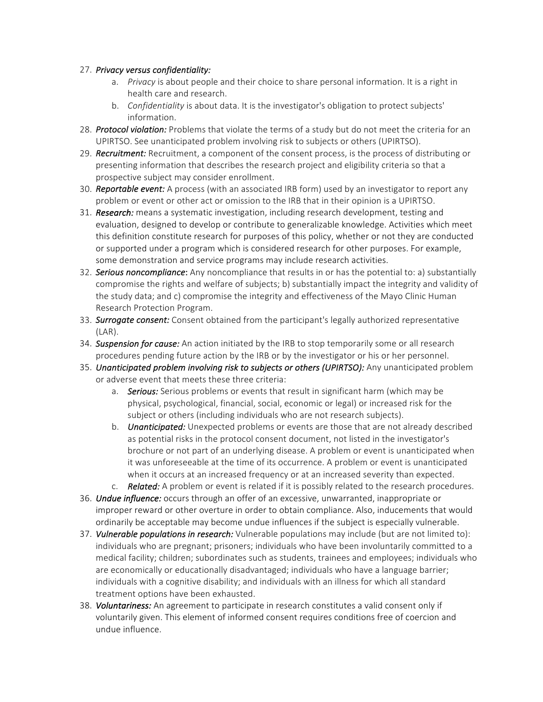## 27. *Privacy versus confidentiality:*

- a. Privacy is about people and their choice to share personal information. It is a right in health care and research.
- b. *Confidentiality* is about data. It is the investigator's obligation to protect subjects' information.
- 28. *Protocol violation:* Problems that violate the terms of a study but do not meet the criteria for an UPIRTSO. See unanticipated problem involving risk to subjects or others (UPIRTSO).
- 29. **Recruitment:** Recruitment, a component of the consent process, is the process of distributing or presenting information that describes the research project and eligibility criteria so that a prospective subject may consider enrollment.
- 30. **Reportable event:** A process (with an associated IRB form) used by an investigator to report any problem or event or other act or omission to the IRB that in their opinion is a UPIRTSO.
- 31. *Research:* means a systematic investigation, including research development, testing and evaluation, designed to develop or contribute to generalizable knowledge. Activities which meet this definition constitute research for purposes of this policy, whether or not they are conducted or supported under a program which is considered research for other purposes. For example, some demonstration and service programs may include research activities.
- 32. **Serious noncompliance:** Any noncompliance that results in or has the potential to: a) substantially compromise the rights and welfare of subjects; b) substantially impact the integrity and validity of the study data; and c) compromise the integrity and effectiveness of the Mayo Clinic Human Research Protection Program.
- 33. **Surrogate consent:** Consent obtained from the participant's legally authorized representative (LAR).
- 34. **Suspension for cause:** An action initiated by the IRB to stop temporarily some or all research procedures pending future action by the IRB or by the investigator or his or her personnel.
- 35. *Unanticipated problem involving risk to subjects or others (UPIRTSO):* Any unanticipated problem or adverse event that meets these three criteria:
	- a. *Serious:* Serious problems or events that result in significant harm (which may be physical, psychological, financial, social, economic or legal) or increased risk for the subject or others (including individuals who are not research subjects).
	- b. *Unanticipated:* Unexpected problems or events are those that are not already described as potential risks in the protocol consent document, not listed in the investigator's brochure or not part of an underlying disease. A problem or event is unanticipated when it was unforeseeable at the time of its occurrence. A problem or event is unanticipated when it occurs at an increased frequency or at an increased severity than expected.
	- c. **Related:** A problem or event is related if it is possibly related to the research procedures.
- 36. **Undue influence:** occurs through an offer of an excessive, unwarranted, inappropriate or improper reward or other overture in order to obtain compliance. Also, inducements that would ordinarily be acceptable may become undue influences if the subject is especially vulnerable.
- 37. **Vulnerable populations in research:** Vulnerable populations may include (but are not limited to): individuals who are pregnant; prisoners; individuals who have been involuntarily committed to a medical facility; children; subordinates such as students, trainees and employees; individuals who are economically or educationally disadvantaged; individuals who have a language barrier; individuals with a cognitive disability; and individuals with an illness for which all standard treatment options have been exhausted.
- 38. *Voluntariness:* An agreement to participate in research constitutes a valid consent only if voluntarily given. This element of informed consent requires conditions free of coercion and undue influence.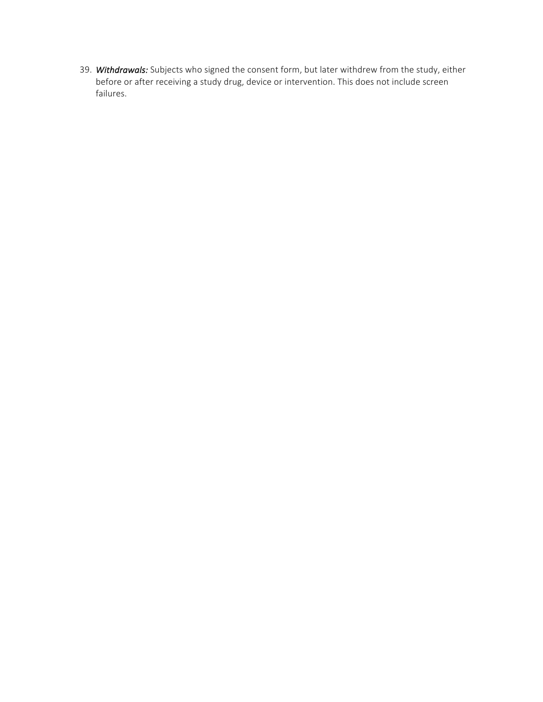39. Withdrawals: Subjects who signed the consent form, but later withdrew from the study, either before or after receiving a study drug, device or intervention. This does not include screen failures.